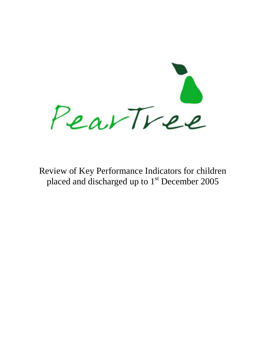PearTree

Review of Key Performance Indicators for children placed and discharged up to  $1<sup>st</sup>$  December 2005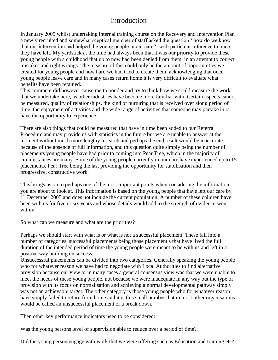# Introduction

In January 2005 whilst undertaking internal training course on the Recovery and Intervention Plan a newly recruited and somewhat sceptical member of staff asked the question ' how do we know that our intervention had helped the young people in our care?' with particular reference to once they have left. My yardstick at the time had always been that it was our priority to provide these young people with a childhood that up to now had been denied from them, in an attempt to correct mistakes and right wrongs. The measure of this could only be the amount of opportunities we created for young people and how hard we had tried to create them, acknowledging that once young people leave care and in many cases return home it is very difficult to evaluate what benefits have been retained.

This comment did however cause me to ponder and try to think how we could measure the work that we undertake here, as other industries have become more familiar with. Certain aspects cannot be measured, quality of relationships, the kind of nurturing that is received over along period of time, the enjoyment of activities and the wide range of activities that someone may partake in or have the opportunity to experience.

There are also things that could be measured that have in time been added to our Referral Procedure and may provide us with statistics in the future but we are unable to answer at the moment without much more lengthy research and perhaps the end result would be inaccurate because of the absence of full information, and this question quite simply being the number of placements young people have had prior to coming into Pear Tree, which in the majority of circumstances are many. Some of the young people currently in our care have experienced up to 15 placements, Pear Tree being the last providing the opportunity for stabilisation and then progressive, constructive work.

This brings us on to perhaps one of the most important points when considering the information you are about to look at. This information is based on the young people that have left our care by  $1<sup>st</sup>$  December 2005 and does not include the current population. A number of these children have been with us for five or six years and whose details would add to the strength of evidence seen within.

So what can we measure and what are the priorities?

Perhaps we should start with what is or what is not a successful placement. These fall into a number of categories, successful placements being those placement s that have lived the full duration of the intended period of time the young people were meant to be with us and left in a positive way building on success.

Unsuccessful placements can be divided into two categories. Generally speaking the young people who for whatever reason we have had to negotiate with Local Authorities to find alternative provision because our view or in many cases a general consensus view was that we were unable to meet the needs of these young people, not because we were inadequate in any way but the type of provision with its focus on normalisation and achieving a normal developmental pathway simply was not an achievable target. The other category is those young people who for whatever reason have simply failed to return from home and it is this small number that in most other organisations would be called an unsuccessful placement or a break down.

Then other key performance indicators need to be considered:

Was the young persons level of supervision able to reduce over a period of time?

Did the young person engage with work that we were offering such as Education and training etc?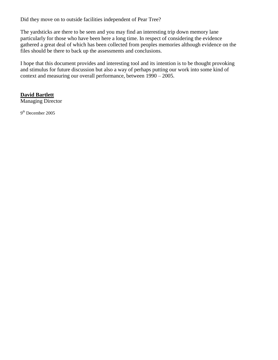Did they move on to outside facilities independent of Pear Tree?

The yardsticks are there to be seen and you may find an interesting trip down memory lane particularly for those who have been here a long time. In respect of considering the evidence gathered a great deal of which has been collected from peoples memories although evidence on the files should be there to back up the assessments and conclusions.

I hope that this document provides and interesting tool and its intention is to be thought provoking and stimulus for future discussion but also a way of perhaps putting our work into some kind of context and measuring our overall performance, between 1990 – 2005.

### **David Bartlett**

Managing Director

9<sup>th</sup> December 2005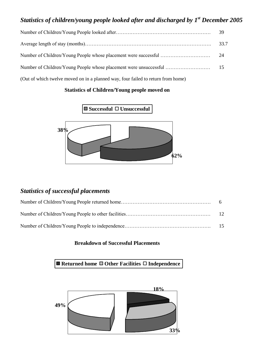## *Statistics of children/young people looked after and discharged by 1st December 2005*

|                                                                                  | 39   |
|----------------------------------------------------------------------------------|------|
|                                                                                  | 33.7 |
|                                                                                  |      |
|                                                                                  |      |
| (Out of which twelve moved on in a planned way, four failed to return from home) |      |

#### **Statistics of Children/Young people moved on**

■ Successful □ Unsuccessful



## *Statistics of successful placements*

| -15 |
|-----|

#### **Breakdown of Successful Placements**

■ Returned home ■ Other Facilities □ Independence

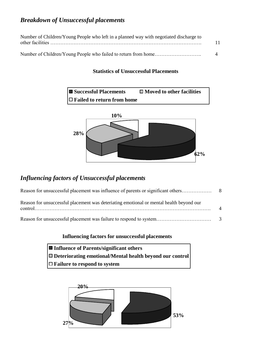## *Breakdown of Unsuccessful placements*

| Number of Children/Young People who left in a planned way with negotiated discharge to |               |
|----------------------------------------------------------------------------------------|---------------|
|                                                                                        | 11            |
|                                                                                        | $\mathcal{A}$ |

### **Statistics of Unsuccessful Placements**



## *Influencing factors of Unsuccessful placements*

| Reason for unsuccessful placement was deteriating emotional or mental health beyond our | $\mathbf{\Lambda}$ |
|-----------------------------------------------------------------------------------------|--------------------|
|                                                                                         |                    |

### **Influencing factors for unsuccessful placements**

| ■ Influence of Parents/significant others                  |
|------------------------------------------------------------|
| □ Deteriorating emotional/Mental health beyond our control |
| $\Box$ Failure to respond to system                        |

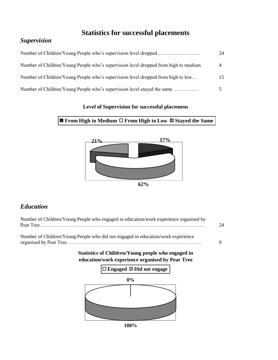# **Statistics for successful placements**

## *Supervision*

|                                                                                     | 24 |
|-------------------------------------------------------------------------------------|----|
| Number of Children/Young People who's supervision level dropped from high to medium |    |
| Number of Children/Young People who's supervision level dropped from high to low    | 15 |
| Number of Children/Young People who's supervision level stayed the same             |    |

### **Level of Supervision for successful placemens**

### **■ From High to Medium** □ From High to Low ■ Stayed the Same



## *Education*

| Pear Tree | Number of Children/Young People who engaged in education/work experience organised by<br>24            |
|-----------|--------------------------------------------------------------------------------------------------------|
|           | Number of Children/Young People who did not engaged in education/work experience<br>$\Omega$           |
|           | Statistics of Children/Young people who engaged in<br>education/work experience organised by Pear Tree |
|           | $\Box$ Engaged $\Box$ Did not engage                                                                   |
|           | 0%                                                                                                     |
|           |                                                                                                        |

**100%**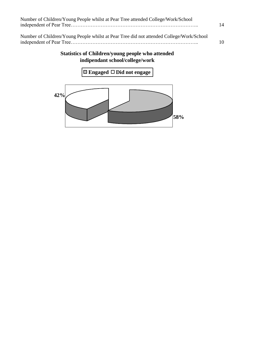| Number of Children/Young People whilst at Pear Tree attended College/Work/School         | 14 |
|------------------------------------------------------------------------------------------|----|
| Number of Children/Young People whilst at Pear Tree did not attended College/Work/School |    |
|                                                                                          | 10 |

## **Statistics of Children/young people who attended indipendant school/college/work**

**Engaged Did not engage**

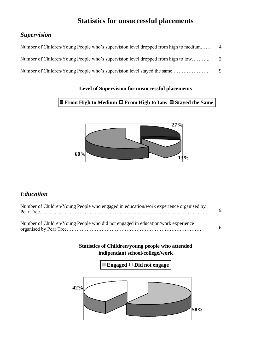# **Statistics for unsuccessful placements**

## *Supervision*

| Number of Children/Young People who's supervision level dropped from high to medium |   |
|-------------------------------------------------------------------------------------|---|
| Number of Children/Young People who's supervision level dropped from high to low    | 2 |
| Number of Children/Young People who's supervision level stayed the same             | 9 |

### **Level of Supervision for unsuccessful placements**

### **■ From High to Medium** □ From High to Low ■ Stayed the Same



## *Education*

| Number of Children/Young People who engaged in education/work experience organised by |             |
|---------------------------------------------------------------------------------------|-------------|
|                                                                                       | $\mathbf Q$ |
|                                                                                       |             |
| Number of Children/Young People who did not engaged in education/work experience      |             |
|                                                                                       | 6           |

### **Statistics of Children/young people who attended indipendant school/college/work**

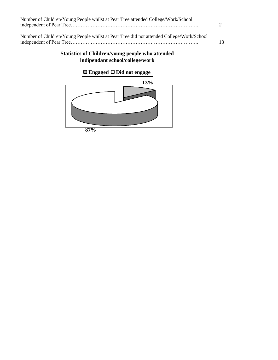| Number of Children/Young People whilst at Pear Tree attended College/Work/School         |    |
|------------------------------------------------------------------------------------------|----|
| Number of Children/Young People whilst at Pear Tree did not attended College/Work/School | 13 |

## **Statistics of Children/young people who attended indipendant school/college/work**

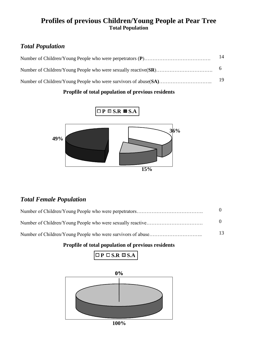## **Profiles of previous Children/Young People at Pear Tree Total Population**

# *Total Population*

| 14 |
|----|
|    |
| 19 |

### **Propfile of total population of previous residents**



## *Total Female Population*

| 13 |
|----|

| $\Box$ P $\Box$ S.R $\Box$ S.A |
|--------------------------------|
|--------------------------------|

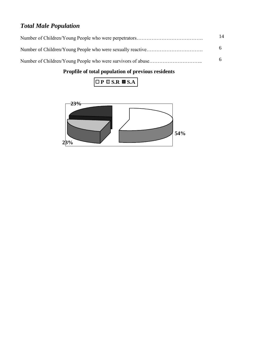# *Total Male Population*

| 14 |
|----|
| 6. |
| 6  |



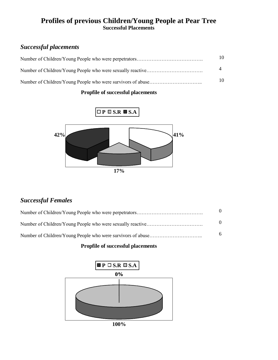## **Profiles of previous Children/Young People at Pear Tree Successful Placements**

## *Successful placements*

| 10 |
|----|
|    |
| 10 |

### **Propfile of successful placements**



## *Successful Females*

| 6 |
|---|

### **Propfile of successful placements**

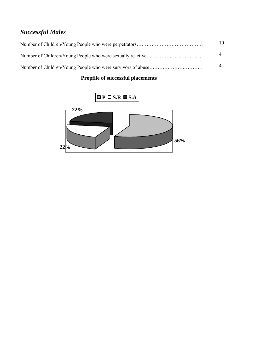# *Successful Males*

| 10 |
|----|
|    |
|    |

## **Propfile of successful placements**

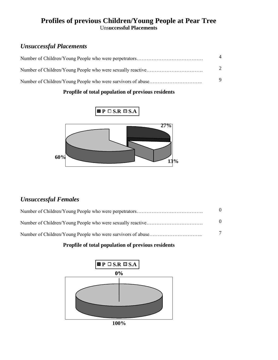## **Profiles of previous Children/Young People at Pear Tree** Uns**uccessful Placements**

## *Unsuccessful Placements*

| $\overline{4}$        |
|-----------------------|
| $\mathcal{D}_{\cdot}$ |
| 9                     |

### **Propfile of total population of previous residents**



## *Unsuccessful Females*